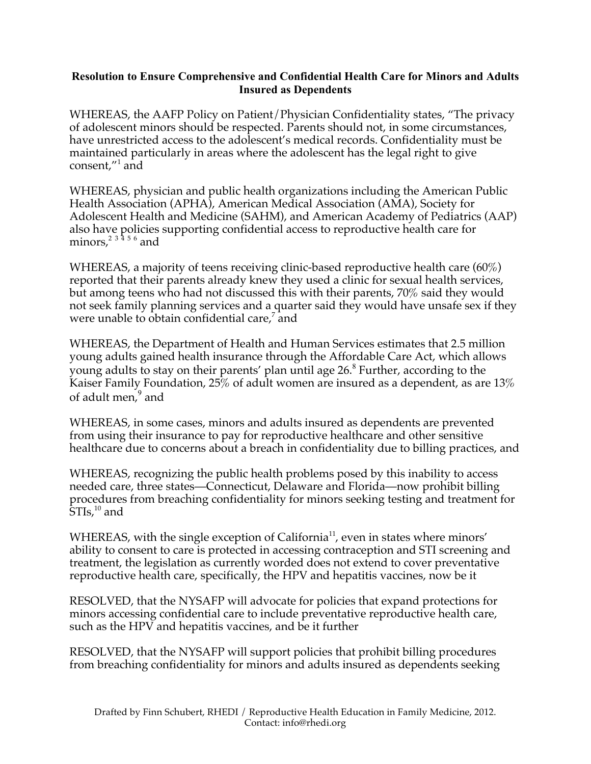## **Resolution to Ensure Comprehensive and Confidential Health Care for Minors and Adults Insured as Dependents**

WHEREAS, the AAFP Policy on Patient/Physician Confidentiality states, "The privacy of adolescent minors should be respected. Parents should not, in some circumstances, have unrestricted access to the adolescent's medical records. Confidentiality must be maintained particularly in areas where the adolescent has the legal right to give consent,"<sup>1</sup> and

WHEREAS, physician and public health organizations including the American Public Health Association (APHA), American Medical Association (AMA), Society for Adolescent Health and Medicine (SAHM), and American Academy of Pediatrics (AAP) also have policies supporting confidential access to reproductive health care for minors, $^{2\;3\;4\;5\;6}$  and

WHEREAS, a majority of teens receiving clinic-based reproductive health care (60%) reported that their parents already knew they used a clinic for sexual health services, but among teens who had not discussed this with their parents, 70% said they would not seek family planning services and a quarter said they would have unsafe sex if they were unable to obtain confidential care,<sup>7</sup> and

WHEREAS, the Department of Health and Human Services estimates that 2.5 million young adults gained health insurance through the Affordable Care Act, which allows young adults to stay on their parents' plan until age 26. 8 Further, according to the Kaiser Family Foundation, 25% of adult women are insured as a dependent, as are 13% of adult men,<sup>9</sup> and

WHEREAS, in some cases, minors and adults insured as dependents are prevented from using their insurance to pay for reproductive healthcare and other sensitive healthcare due to concerns about a breach in confidentiality due to billing practices, and

WHEREAS, recognizing the public health problems posed by this inability to access needed care, three states—Connecticut, Delaware and Florida—now prohibit billing procedures from breaching confidentiality for minors seeking testing and treatment for  $\rm \tilde STI$ s, $^{10}$  and

WHEREAS, with the single exception of California<sup>11</sup>, even in states where minors' ability to consent to care is protected in accessing contraception and STI screening and treatment, the legislation as currently worded does not extend to cover preventative reproductive health care, specifically, the HPV and hepatitis vaccines, now be it

RESOLVED, that the NYSAFP will advocate for policies that expand protections for minors accessing confidential care to include preventative reproductive health care, such as the HPV and hepatitis vaccines, and be it further

RESOLVED, that the NYSAFP will support policies that prohibit billing procedures from breaching confidentiality for minors and adults insured as dependents seeking